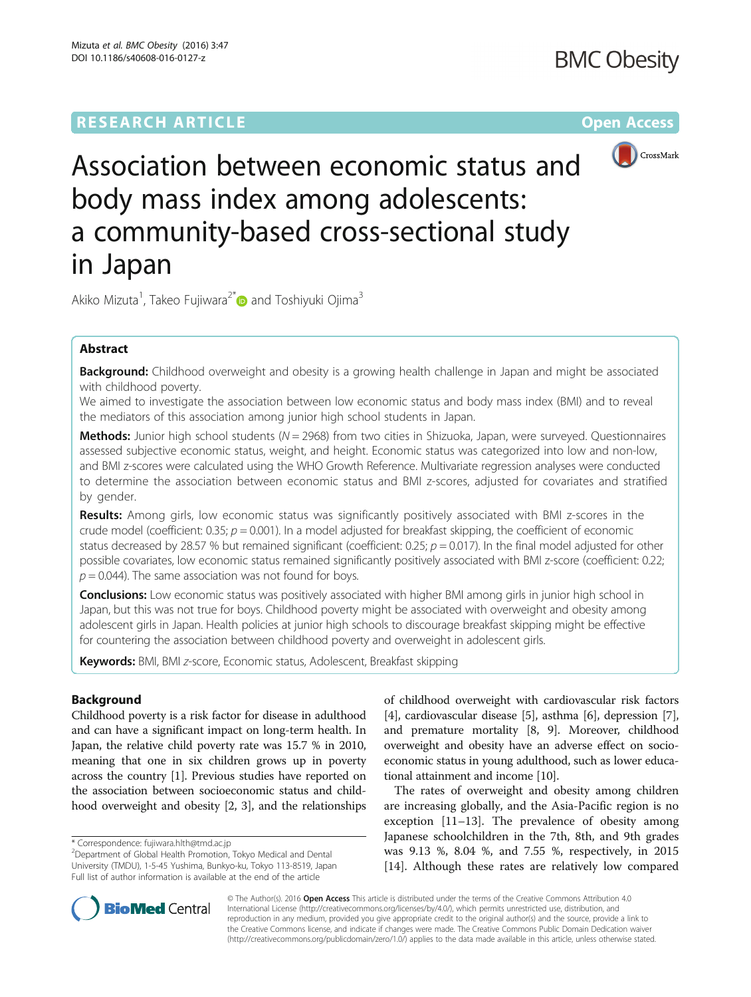

Association between economic status and body mass index among adolescents: a community-based cross-sectional study in Japan

Akiko Mizuta<sup>1</sup>, Takeo Fujiwara<sup>2[\\*](http://orcid.org/0000-0002-1074-3954)</sup> and Toshiyuki Ojima<sup>3</sup>

# Abstract

Background: Childhood overweight and obesity is a growing health challenge in Japan and might be associated with childhood poverty.

We aimed to investigate the association between low economic status and body mass index (BMI) and to reveal the mediators of this association among junior high school students in Japan.

Methods: Junior high school students ( $N = 2968$ ) from two cities in Shizuoka, Japan, were surveyed. Questionnaires assessed subjective economic status, weight, and height. Economic status was categorized into low and non-low, and BMI z-scores were calculated using the WHO Growth Reference. Multivariate regression analyses were conducted to determine the association between economic status and BMI z-scores, adjusted for covariates and stratified by gender.

Results: Among girls, low economic status was significantly positively associated with BMI z-scores in the crude model (coefficient: 0.35;  $p = 0.001$ ). In a model adjusted for breakfast skipping, the coefficient of economic status decreased by 28.57 % but remained significant (coefficient: 0.25;  $p = 0.017$ ). In the final model adjusted for other possible covariates, low economic status remained significantly positively associated with BMI z-score (coefficient: 0.22;  $p = 0.044$ ). The same association was not found for boys.

**Conclusions:** Low economic status was positively associated with higher BMI among girls in junior high school in Japan, but this was not true for boys. Childhood poverty might be associated with overweight and obesity among adolescent girls in Japan. Health policies at junior high schools to discourage breakfast skipping might be effective for countering the association between childhood poverty and overweight in adolescent girls.

Keywords: BMI, BMI z-score, Economic status, Adolescent, Breakfast skipping

# Background

Childhood poverty is a risk factor for disease in adulthood and can have a significant impact on long-term health. In Japan, the relative child poverty rate was 15.7 % in 2010, meaning that one in six children grows up in poverty across the country [[1](#page-7-0)]. Previous studies have reported on the association between socioeconomic status and childhood overweight and obesity [\[2, 3](#page-7-0)], and the relationships of childhood overweight with cardiovascular risk factors [[4\]](#page-7-0), cardiovascular disease [[5\]](#page-7-0), asthma [[6\]](#page-7-0), depression [[7](#page-7-0)], and premature mortality [[8, 9](#page-8-0)]. Moreover, childhood overweight and obesity have an adverse effect on socioeconomic status in young adulthood, such as lower educational attainment and income [[10](#page-8-0)].

The rates of overweight and obesity among children are increasing globally, and the Asia-Pacific region is no exception [\[11](#page-8-0)–[13\]](#page-8-0). The prevalence of obesity among Japanese schoolchildren in the 7th, 8th, and 9th grades was 9.13 %, 8.04 %, and 7.55 %, respectively, in 2015 [[14\]](#page-8-0). Although these rates are relatively low compared



© The Author(s). 2016 Open Access This article is distributed under the terms of the Creative Commons Attribution 4.0 International License [\(http://creativecommons.org/licenses/by/4.0/](http://creativecommons.org/licenses/by/4.0/)), which permits unrestricted use, distribution, and reproduction in any medium, provided you give appropriate credit to the original author(s) and the source, provide a link to the Creative Commons license, and indicate if changes were made. The Creative Commons Public Domain Dedication waiver [\(http://creativecommons.org/publicdomain/zero/1.0/](http://creativecommons.org/publicdomain/zero/1.0/)) applies to the data made available in this article, unless otherwise stated.

<sup>\*</sup> Correspondence: [fujiwara.hlth@tmd.ac.jp](mailto:fujiwara.hlth@tmd.ac.jp) <sup>2</sup>

Department of Global Health Promotion, Tokyo Medical and Dental University (TMDU), 1-5-45 Yushima, Bunkyo-ku, Tokyo 113-8519, Japan Full list of author information is available at the end of the article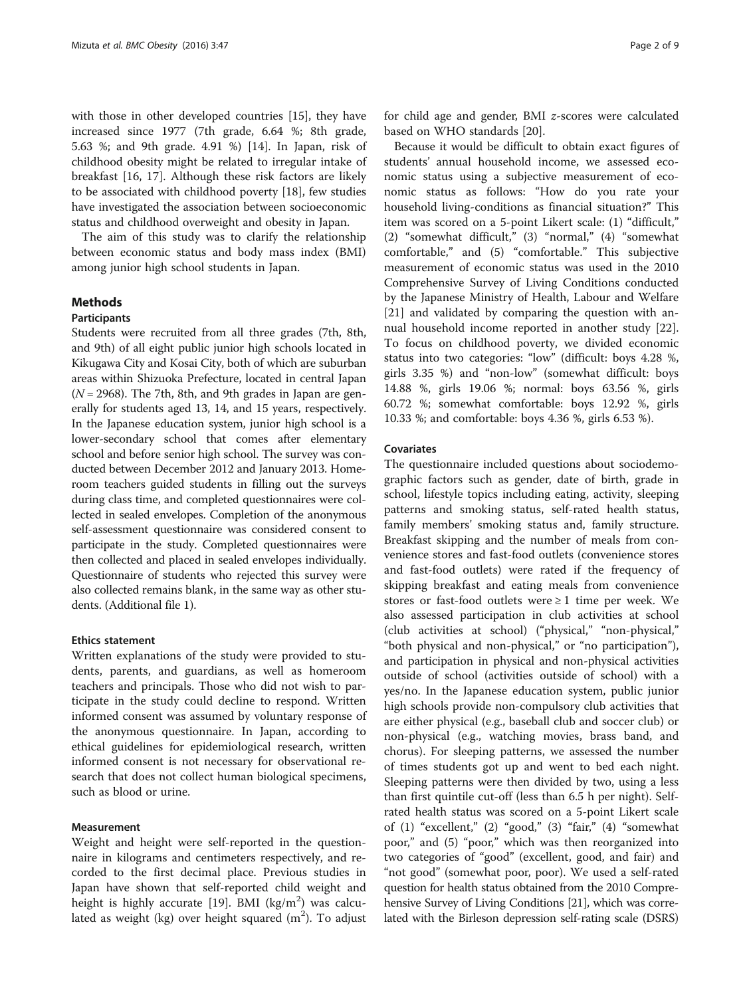with those in other developed countries [[15\]](#page-8-0), they have increased since 1977 (7th grade, 6.64 %; 8th grade, 5.63 %; and 9th grade. 4.91 %) [[14\]](#page-8-0). In Japan, risk of childhood obesity might be related to irregular intake of breakfast [[16](#page-8-0), [17](#page-8-0)]. Although these risk factors are likely to be associated with childhood poverty [[18\]](#page-8-0), few studies have investigated the association between socioeconomic status and childhood overweight and obesity in Japan.

The aim of this study was to clarify the relationship between economic status and body mass index (BMI) among junior high school students in Japan.

# Methods

# Participants

Students were recruited from all three grades (7th, 8th, and 9th) of all eight public junior high schools located in Kikugawa City and Kosai City, both of which are suburban areas within Shizuoka Prefecture, located in central Japan  $(N = 2968)$ . The 7th, 8th, and 9th grades in Japan are generally for students aged 13, 14, and 15 years, respectively. In the Japanese education system, junior high school is a lower-secondary school that comes after elementary school and before senior high school. The survey was conducted between December 2012 and January 2013. Homeroom teachers guided students in filling out the surveys during class time, and completed questionnaires were collected in sealed envelopes. Completion of the anonymous self-assessment questionnaire was considered consent to participate in the study. Completed questionnaires were then collected and placed in sealed envelopes individually. Questionnaire of students who rejected this survey were also collected remains blank, in the same way as other students. (Additional file [1](#page-7-0)).

# Ethics statement

Written explanations of the study were provided to students, parents, and guardians, as well as homeroom teachers and principals. Those who did not wish to participate in the study could decline to respond. Written informed consent was assumed by voluntary response of the anonymous questionnaire. In Japan, according to ethical guidelines for epidemiological research, written informed consent is not necessary for observational research that does not collect human biological specimens, such as blood or urine.

### Measurement

Weight and height were self-reported in the questionnaire in kilograms and centimeters respectively, and recorded to the first decimal place. Previous studies in Japan have shown that self-reported child weight and height is highly accurate [\[19](#page-8-0)]. BMI  $(kg/m^2)$  was calculated as weight (kg) over height squared  $(m^2)$ . To adjust

for child age and gender, BMI z-scores were calculated based on WHO standards [\[20](#page-8-0)].

Because it would be difficult to obtain exact figures of students' annual household income, we assessed economic status using a subjective measurement of economic status as follows: "How do you rate your household living-conditions as financial situation?" This item was scored on a 5-point Likert scale: (1) "difficult," (2) "somewhat difficult," (3) "normal," (4) "somewhat comfortable," and (5) "comfortable." This subjective measurement of economic status was used in the 2010 Comprehensive Survey of Living Conditions conducted by the Japanese Ministry of Health, Labour and Welfare [[21\]](#page-8-0) and validated by comparing the question with annual household income reported in another study [\[22](#page-8-0)]. To focus on childhood poverty, we divided economic status into two categories: "low" (difficult: boys 4.28 %, girls 3.35 %) and "non-low" (somewhat difficult: boys 14.88 %, girls 19.06 %; normal: boys 63.56 %, girls 60.72 %; somewhat comfortable: boys 12.92 %, girls 10.33 %; and comfortable: boys 4.36 %, girls 6.53 %).

# **Covariates**

The questionnaire included questions about sociodemographic factors such as gender, date of birth, grade in school, lifestyle topics including eating, activity, sleeping patterns and smoking status, self-rated health status, family members' smoking status and, family structure. Breakfast skipping and the number of meals from convenience stores and fast-food outlets (convenience stores and fast-food outlets) were rated if the frequency of skipping breakfast and eating meals from convenience stores or fast-food outlets were  $\geq 1$  time per week. We also assessed participation in club activities at school (club activities at school) ("physical," "non-physical," "both physical and non-physical," or "no participation"), and participation in physical and non-physical activities outside of school (activities outside of school) with a yes/no. In the Japanese education system, public junior high schools provide non-compulsory club activities that are either physical (e.g., baseball club and soccer club) or non-physical (e.g., watching movies, brass band, and chorus). For sleeping patterns, we assessed the number of times students got up and went to bed each night. Sleeping patterns were then divided by two, using a less than first quintile cut-off (less than 6.5 h per night). Selfrated health status was scored on a 5-point Likert scale of (1) "excellent," (2) "good," (3) "fair," (4) "somewhat poor," and (5) "poor," which was then reorganized into two categories of "good" (excellent, good, and fair) and "not good" (somewhat poor, poor). We used a self-rated question for health status obtained from the 2010 Comprehensive Survey of Living Conditions [\[21\]](#page-8-0), which was correlated with the Birleson depression self-rating scale (DSRS)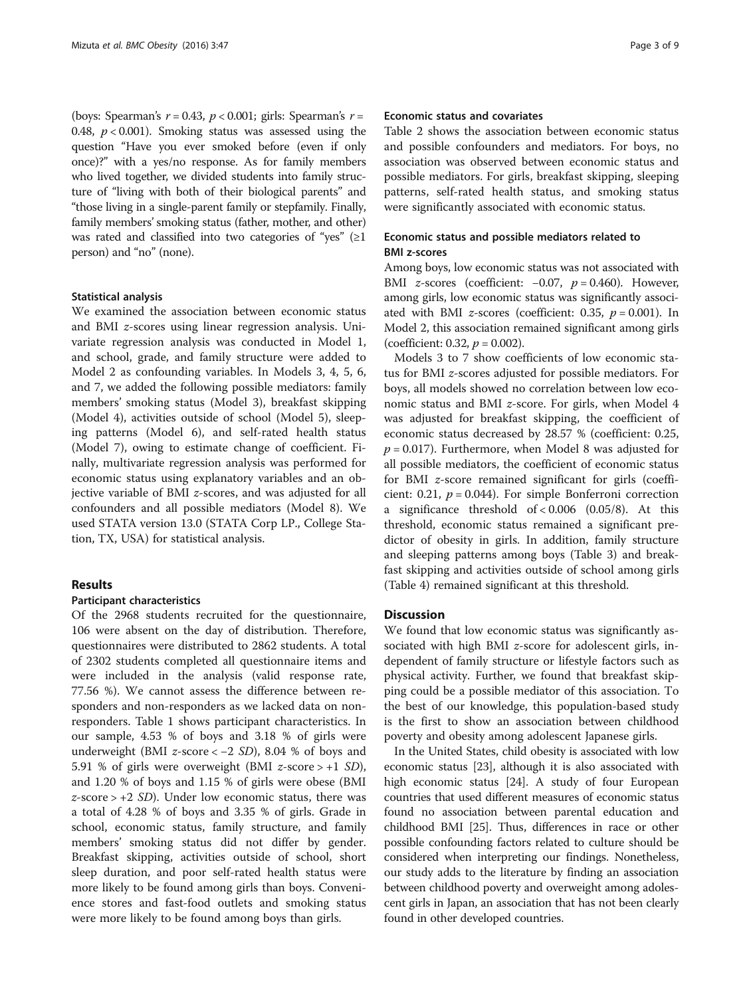(boys: Spearman's  $r = 0.43$ ,  $p < 0.001$ ; girls: Spearman's  $r =$ 0.48,  $p < 0.001$ ). Smoking status was assessed using the question "Have you ever smoked before (even if only once)?" with a yes/no response. As for family members who lived together, we divided students into family structure of "living with both of their biological parents" and "those living in a single-parent family or stepfamily. Finally, family members' smoking status (father, mother, and other) was rated and classified into two categories of "yes"  $(≥1)$ person) and "no" (none).

### Statistical analysis

We examined the association between economic status and BMI z-scores using linear regression analysis. Univariate regression analysis was conducted in Model 1, and school, grade, and family structure were added to Model 2 as confounding variables. In Models 3, 4, 5, 6, and 7, we added the following possible mediators: family members' smoking status (Model 3), breakfast skipping (Model 4), activities outside of school (Model 5), sleeping patterns (Model 6), and self-rated health status (Model 7), owing to estimate change of coefficient. Finally, multivariate regression analysis was performed for economic status using explanatory variables and an objective variable of BMI z-scores, and was adjusted for all confounders and all possible mediators (Model 8). We used STATA version 13.0 (STATA Corp LP., College Station, TX, USA) for statistical analysis.

# Results

### Participant characteristics

Of the 2968 students recruited for the questionnaire, 106 were absent on the day of distribution. Therefore, questionnaires were distributed to 2862 students. A total of 2302 students completed all questionnaire items and were included in the analysis (valid response rate, 77.56 %). We cannot assess the difference between responders and non-responders as we lacked data on nonresponders. Table [1](#page-3-0) shows participant characteristics. In our sample, 4.53 % of boys and 3.18 % of girls were underweight (BMI z-score < −2 SD), 8.04 % of boys and 5.91 % of girls were overweight (BMI  $z$ -score > +1 SD), and 1.20 % of boys and 1.15 % of girls were obese (BMI  $z$ -score > +2 *SD*). Under low economic status, there was a total of 4.28 % of boys and 3.35 % of girls. Grade in school, economic status, family structure, and family members' smoking status did not differ by gender. Breakfast skipping, activities outside of school, short sleep duration, and poor self-rated health status were more likely to be found among girls than boys. Convenience stores and fast-food outlets and smoking status were more likely to be found among boys than girls.

# Economic status and covariates

Table [2](#page-4-0) shows the association between economic status and possible confounders and mediators. For boys, no association was observed between economic status and possible mediators. For girls, breakfast skipping, sleeping patterns, self-rated health status, and smoking status were significantly associated with economic status.

# Economic status and possible mediators related to BMI z-scores

Among boys, low economic status was not associated with BMI z-scores (coefficient:  $-0.07$ ,  $p = 0.460$ ). However, among girls, low economic status was significantly associated with BMI z-scores (coefficient: 0.35,  $p = 0.001$ ). In Model 2, this association remained significant among girls (coefficient: 0.32,  $p = 0.002$ ).

Models 3 to 7 show coefficients of low economic status for BMI z-scores adjusted for possible mediators. For boys, all models showed no correlation between low economic status and BMI z-score. For girls, when Model 4 was adjusted for breakfast skipping, the coefficient of economic status decreased by 28.57 % (coefficient: 0.25,  $p = 0.017$ ). Furthermore, when Model 8 was adjusted for all possible mediators, the coefficient of economic status for BMI z-score remained significant for girls (coefficient: 0.21,  $p = 0.044$ ). For simple Bonferroni correction a significance threshold of < 0.006 (0.05/8). At this threshold, economic status remained a significant predictor of obesity in girls. In addition, family structure and sleeping patterns among boys (Table [3](#page-5-0)) and breakfast skipping and activities outside of school among girls (Table [4\)](#page-6-0) remained significant at this threshold.

# **Discussion**

We found that low economic status was significantly associated with high BMI z-score for adolescent girls, independent of family structure or lifestyle factors such as physical activity. Further, we found that breakfast skipping could be a possible mediator of this association. To the best of our knowledge, this population-based study is the first to show an association between childhood poverty and obesity among adolescent Japanese girls.

In the United States, child obesity is associated with low economic status [\[23\]](#page-8-0), although it is also associated with high economic status [\[24\]](#page-8-0). A study of four European countries that used different measures of economic status found no association between parental education and childhood BMI [\[25\]](#page-8-0). Thus, differences in race or other possible confounding factors related to culture should be considered when interpreting our findings. Nonetheless, our study adds to the literature by finding an association between childhood poverty and overweight among adolescent girls in Japan, an association that has not been clearly found in other developed countries.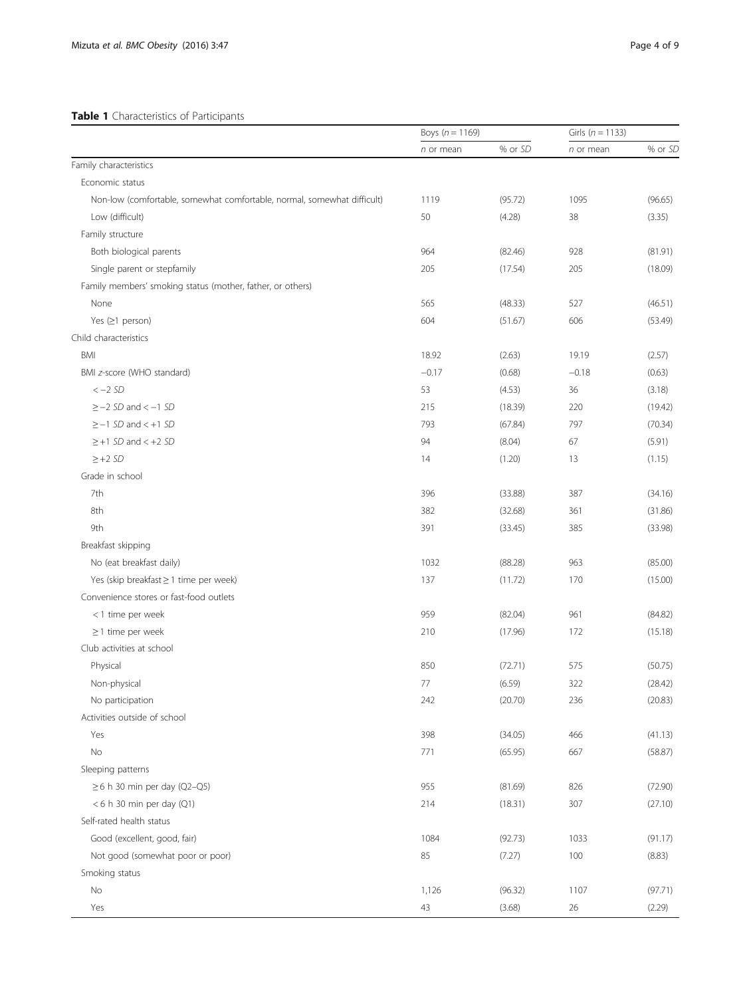# <span id="page-3-0"></span>Table 1 Characteristics of Participants

|                                                                         | Boys $(n = 1169)$ |         | Girls ( $n = 1133$ ) |         |
|-------------------------------------------------------------------------|-------------------|---------|----------------------|---------|
|                                                                         | n or mean         | % or SD | n or mean            | % or SD |
| Family characteristics                                                  |                   |         |                      |         |
| Economic status                                                         |                   |         |                      |         |
| Non-low (comfortable, somewhat comfortable, normal, somewhat difficult) | 1119              | (95.72) | 1095                 | (96.65) |
| Low (difficult)                                                         | 50                | (4.28)  | 38                   | (3.35)  |
| Family structure                                                        |                   |         |                      |         |
| Both biological parents                                                 | 964               | (82.46) | 928                  | (81.91) |
| Single parent or stepfamily                                             | 205               | (17.54) | 205                  | (18.09) |
| Family members' smoking status (mother, father, or others)              |                   |         |                      |         |
| None                                                                    | 565               | (48.33) | 527                  | (46.51) |
| Yes $(≥1$ person)                                                       | 604               | (51.67) | 606                  | (53.49) |
| Child characteristics                                                   |                   |         |                      |         |
| BMI                                                                     | 18.92             | (2.63)  | 19.19                | (2.57)  |
| BMI z-score (WHO standard)                                              | $-0.17$           | (0.68)  | $-0.18$              | (0.63)  |
| $<-2SD$                                                                 | 53                | (4.53)  | 36                   | (3.18)  |
| $\ge$ -2 SD and < -1 SD                                                 | 215               | (18.39) | 220                  | (19.42) |
| $\ge -1$ SD and $\lt +1$ SD                                             | 793               | (67.84) | 797                  | (70.34) |
| $\geq$ +1 SD and < +2 SD                                                | 94                | (8.04)  | 67                   | (5.91)  |
| $\geq$ +2 SD                                                            | 14                | (1.20)  | 13                   | (1.15)  |
| Grade in school                                                         |                   |         |                      |         |
| 7th                                                                     | 396               | (33.88) | 387                  | (34.16) |
| 8th                                                                     | 382               | (32.68) | 361                  | (31.86) |
| 9th                                                                     | 391               | (33.45) | 385                  | (33.98) |
| Breakfast skipping                                                      |                   |         |                      |         |
| No (eat breakfast daily)                                                | 1032              | (88.28) | 963                  | (85.00) |
| Yes (skip breakfast ≥ 1 time per week)                                  | 137               | (11.72) | 170                  | (15.00) |
| Convenience stores or fast-food outlets                                 |                   |         |                      |         |
| <1 time per week                                                        | 959               | (82.04) | 961                  | (84.82) |
| $\geq$ 1 time per week                                                  | 210               | (17.96) | 172                  | (15.18) |
| Club activities at school                                               |                   |         |                      |         |
| Physical                                                                | 850               | (72.71) | 575                  | (50.75) |
| Non-physical                                                            | 77                | (6.59)  | 322                  | (28.42) |
| No participation                                                        | 242               | (20.70) | 236                  | (20.83) |
| Activities outside of school                                            |                   |         |                      |         |
| Yes                                                                     | 398               | (34.05) | 466                  | (41.13) |
| No                                                                      | 771               | (65.95) | 667                  | (58.87) |
| Sleeping patterns                                                       |                   |         |                      |         |
| $\geq$ 6 h 30 min per day (Q2-Q5)                                       | 955               | (81.69) | 826                  | (72.90) |
| $< 6$ h 30 min per day (Q1)                                             | 214               | (18.31) | 307                  | (27.10) |
| Self-rated health status                                                |                   |         |                      |         |
| Good (excellent, good, fair)                                            | 1084              | (92.73) | 1033                 | (91.17) |
| Not good (somewhat poor or poor)                                        | 85                | (7.27)  | 100                  | (8.83)  |
| Smoking status                                                          |                   |         |                      |         |
| No                                                                      | 1,126             | (96.32) | 1107                 | (97.71) |
| Yes                                                                     |                   |         |                      |         |
|                                                                         | 43                | (3.68)  | 26                   | (2.29)  |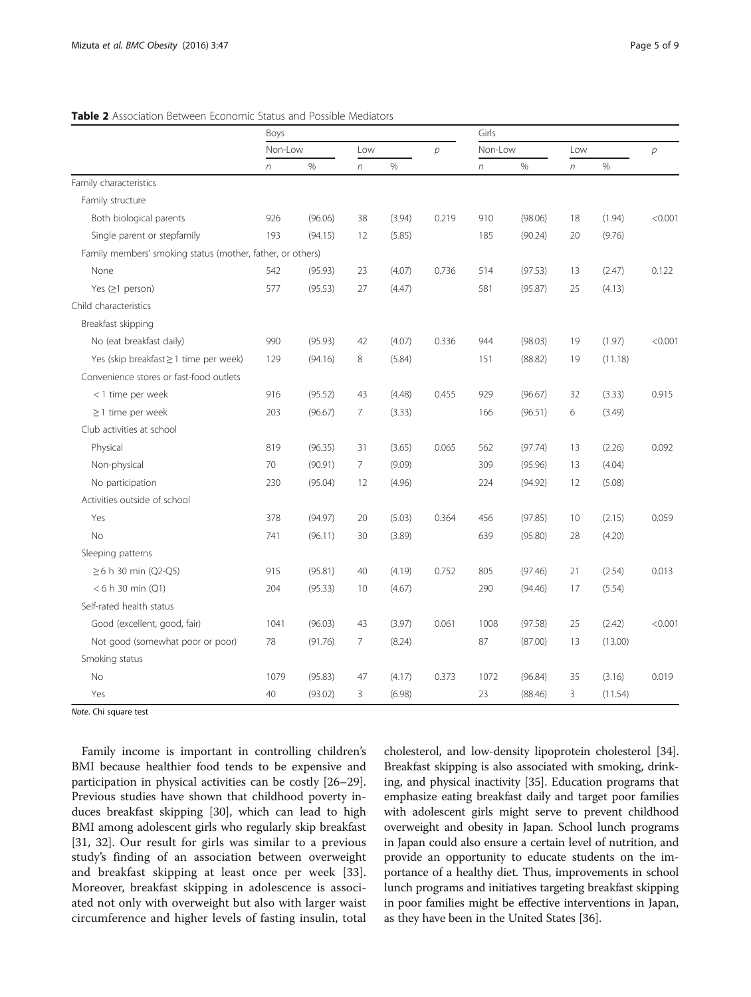# <span id="page-4-0"></span>Table 2 Association Between Economic Status and Possible Mediators

|                                                            | Boys    |         |                 |        | Girls         |                  |         |        |               |         |  |  |  |  |
|------------------------------------------------------------|---------|---------|-----------------|--------|---------------|------------------|---------|--------|---------------|---------|--|--|--|--|
|                                                            | Non-Low |         | Low             |        | $\mathcal{D}$ | Non-Low          |         | Low    | р             |         |  |  |  |  |
|                                                            | n       | $\%$    | $\sqrt{n}$      | %      |               | $\boldsymbol{n}$ | $\%$    | $\eta$ | $\frac{0}{0}$ |         |  |  |  |  |
| Family characteristics                                     |         |         |                 |        |               |                  |         |        |               |         |  |  |  |  |
| Family structure                                           |         |         |                 |        |               |                  |         |        |               |         |  |  |  |  |
| Both biological parents                                    | 926     | (96.06) | 38              | (3.94) | 0.219         | 910              | (98.06) | 18     | (1.94)        | < 0.001 |  |  |  |  |
| Single parent or stepfamily                                | 193     | (94.15) | 12              | (5.85) |               | 185              | (90.24) | 20     | (9.76)        |         |  |  |  |  |
| Family members' smoking status (mother, father, or others) |         |         |                 |        |               |                  |         |        |               |         |  |  |  |  |
| None                                                       | 542     | (95.93) | 23              | (4.07) | 0.736         | 514              | (97.53) | 13     | (2.47)        | 0.122   |  |  |  |  |
| Yes $(≥1$ person)                                          | 577     | (95.53) | 27              | (4.47) |               | 581              | (95.87) | 25     | (4.13)        |         |  |  |  |  |
| Child characteristics                                      |         |         |                 |        |               |                  |         |        |               |         |  |  |  |  |
| Breakfast skipping                                         |         |         |                 |        |               |                  |         |        |               |         |  |  |  |  |
| No (eat breakfast daily)                                   | 990     | (95.93) | 42              | (4.07) | 0.336         | 944              | (98.03) | 19     | (1.97)        | < 0.001 |  |  |  |  |
| Yes (skip breakfast ≥ 1 time per week)                     | 129     | (94.16) | 8               | (5.84) |               | 151              | (88.82) | 19     | (11.18)       |         |  |  |  |  |
| Convenience stores or fast-food outlets                    |         |         |                 |        |               |                  |         |        |               |         |  |  |  |  |
| < 1 time per week                                          | 916     | (95.52) | 43              | (4.48) | 0.455         | 929              | (96.67) | 32     | (3.33)        | 0.915   |  |  |  |  |
| $\geq$ 1 time per week                                     | 203     | (96.67) | $\overline{7}$  | (3.33) |               | 166              | (96.51) | 6      | (3.49)        |         |  |  |  |  |
| Club activities at school                                  |         |         |                 |        |               |                  |         |        |               |         |  |  |  |  |
| Physical                                                   | 819     | (96.35) | 31              | (3.65) | 0.065         | 562              | (97.74) | 13     | (2.26)        | 0.092   |  |  |  |  |
| Non-physical                                               | 70      | (90.91) | $7\overline{ }$ | (9.09) |               | 309              | (95.96) | 13     | (4.04)        |         |  |  |  |  |
| No participation                                           | 230     | (95.04) | 12              | (4.96) |               | 224              | (94.92) | 12     | (5.08)        |         |  |  |  |  |
| Activities outside of school                               |         |         |                 |        |               |                  |         |        |               |         |  |  |  |  |
| Yes                                                        | 378     | (94.97) | 20              | (5.03) | 0.364         | 456              | (97.85) | 10     | (2.15)        | 0.059   |  |  |  |  |
| <b>No</b>                                                  | 741     | (96.11) | 30              | (3.89) |               | 639              | (95.80) | 28     | (4.20)        |         |  |  |  |  |
| Sleeping patterns                                          |         |         |                 |        |               |                  |         |        |               |         |  |  |  |  |
| $\geq 6$ h 30 min (Q2-Q5)                                  | 915     | (95.81) | 40              | (4.19) | 0.752         | 805              | (97.46) | 21     | (2.54)        | 0.013   |  |  |  |  |
| < 6 h 30 min (Q1)                                          | 204     | (95.33) | 10              | (4.67) |               | 290              | (94.46) | 17     | (5.54)        |         |  |  |  |  |
| Self-rated health status                                   |         |         |                 |        |               |                  |         |        |               |         |  |  |  |  |
| Good (excellent, good, fair)                               | 1041    | (96.03) | 43              | (3.97) | 0.061         | 1008             | (97.58) | 25     | (2.42)        | < 0.001 |  |  |  |  |
| Not good (somewhat poor or poor)                           | 78      | (91.76) | 7               | (8.24) |               | 87               | (87.00) | 13     | (13.00)       |         |  |  |  |  |
| Smoking status                                             |         |         |                 |        |               |                  |         |        |               |         |  |  |  |  |
| <b>No</b>                                                  | 1079    | (95.83) | 47              | (4.17) | 0.373         | 1072             | (96.84) | 35     | (3.16)        | 0.019   |  |  |  |  |
| Yes                                                        | 40      | (93.02) | 3               | (6.98) |               | 23               | (88.46) | 3      | (11.54)       |         |  |  |  |  |

Note. Chi square test

Family income is important in controlling children's BMI because healthier food tends to be expensive and participation in physical activities can be costly [[26](#page-8-0)–[29](#page-8-0)]. Previous studies have shown that childhood poverty induces breakfast skipping [\[30\]](#page-8-0), which can lead to high BMI among adolescent girls who regularly skip breakfast [[31, 32\]](#page-8-0). Our result for girls was similar to a previous study's finding of an association between overweight and breakfast skipping at least once per week [\[33](#page-8-0)]. Moreover, breakfast skipping in adolescence is associated not only with overweight but also with larger waist circumference and higher levels of fasting insulin, total

cholesterol, and low-density lipoprotein cholesterol [[34](#page-8-0)]. Breakfast skipping is also associated with smoking, drinking, and physical inactivity [\[35\]](#page-8-0). Education programs that emphasize eating breakfast daily and target poor families with adolescent girls might serve to prevent childhood overweight and obesity in Japan. School lunch programs in Japan could also ensure a certain level of nutrition, and provide an opportunity to educate students on the importance of a healthy diet. Thus, improvements in school lunch programs and initiatives targeting breakfast skipping in poor families might be effective interventions in Japan, as they have been in the United States [\[36\]](#page-8-0).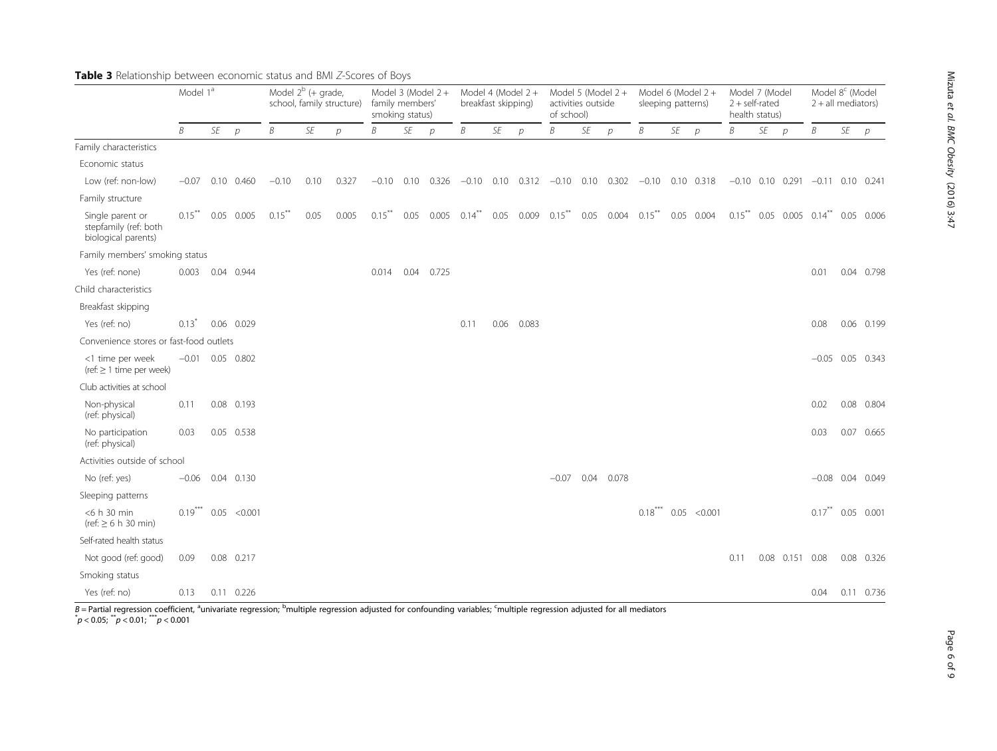|                                                                  | Model 1 <sup>a</sup> |    |              | Model $2^b$ (+ grade,<br>school, family structure) |           |               | Model 3 (Model $2 +$<br>family members'<br>smoking status) |      |               | Model 4 (Model 2+<br>breakfast skipping) |      |               | Model 5 (Model 2+<br>activities outside<br>of school) |    |                | Model 6 (Model 2+<br>sleeping patterns)                      |    |               |      | Model 7 (Model<br>$2 + self-rated$<br>health status) |                   | Model 8 <sup>c</sup> (Model<br>$2 + all$ mediators) |    |                    |
|------------------------------------------------------------------|----------------------|----|--------------|----------------------------------------------------|-----------|---------------|------------------------------------------------------------|------|---------------|------------------------------------------|------|---------------|-------------------------------------------------------|----|----------------|--------------------------------------------------------------|----|---------------|------|------------------------------------------------------|-------------------|-----------------------------------------------------|----|--------------------|
|                                                                  | B                    | SE | D            | B                                                  | <b>SE</b> | $\mathcal{D}$ | B                                                          | SE   | $\mathcal{D}$ | B                                        | SE   | $\mathcal{D}$ | Β                                                     | SE | $\overline{p}$ | B                                                            | SE | $\mathcal{D}$ | B    | SE                                                   | $\mathcal{D}$     | Β                                                   | SE | $\mathcal{P}$      |
| Family characteristics                                           |                      |    |              |                                                    |           |               |                                                            |      |               |                                          |      |               |                                                       |    |                |                                                              |    |               |      |                                                      |                   |                                                     |    |                    |
| Economic status                                                  |                      |    |              |                                                    |           |               |                                                            |      |               |                                          |      |               |                                                       |    |                |                                                              |    |               |      |                                                      |                   |                                                     |    |                    |
| Low (ref: non-low)                                               | $-0.07$              |    | 0.10 0.460   | $-0.10$                                            | 0.10      | 0.327         | $-0.10$ 0.10                                               |      | 0.326         | $-0.10$                                  |      |               |                                                       |    |                | $0.10$ $0.312$ $-0.10$ $0.10$ $0.302$ $-0.10$ $0.10$ $0.318$ |    |               |      |                                                      |                   | $-0.10$ 0.10 0.291 $-0.11$ 0.10 0.241               |    |                    |
| Family structure                                                 |                      |    |              |                                                    |           |               |                                                            |      |               |                                          |      |               |                                                       |    |                |                                                              |    |               |      |                                                      |                   |                                                     |    |                    |
| Single parent or<br>stepfamily (ref: both<br>biological parents) | $0.15$ <sup>**</sup> |    | 0.05 0.005   | $0.15$ <sup>**</sup>                               | 0.05      | 0.005         | $0.15***$                                                  | 0.05 | 0.005         | $0.14***$                                | 0.05 |               |                                                       |    |                | $0.009$ $0.15$ ** $0.05$ $0.004$ $0.15$ ** $0.05$ $0.004$    |    |               |      |                                                      |                   | $0.15$ ** $0.05$ 0.005 $0.14$ ** 0.05 0.006         |    |                    |
| Family members' smoking status                                   |                      |    |              |                                                    |           |               |                                                            |      |               |                                          |      |               |                                                       |    |                |                                                              |    |               |      |                                                      |                   |                                                     |    |                    |
| Yes (ref: none)                                                  | 0.003                |    | 0.04 0.944   |                                                    |           |               | 0.014                                                      | 0.04 | 0.725         |                                          |      |               |                                                       |    |                |                                                              |    |               |      |                                                      |                   | 0.01                                                |    | 0.04 0.798         |
| Child characteristics                                            |                      |    |              |                                                    |           |               |                                                            |      |               |                                          |      |               |                                                       |    |                |                                                              |    |               |      |                                                      |                   |                                                     |    |                    |
| Breakfast skipping                                               |                      |    |              |                                                    |           |               |                                                            |      |               |                                          |      |               |                                                       |    |                |                                                              |    |               |      |                                                      |                   |                                                     |    |                    |
| Yes (ref: no)                                                    | $0.13$ <sup>*</sup>  |    | 0.06 0.029   |                                                    |           |               |                                                            |      |               | 0.11                                     | 0.06 | 0.083         |                                                       |    |                |                                                              |    |               |      |                                                      |                   | 0.08                                                |    | 0.06 0.199         |
| Convenience stores or fast-food outlets                          |                      |    |              |                                                    |           |               |                                                            |      |               |                                          |      |               |                                                       |    |                |                                                              |    |               |      |                                                      |                   |                                                     |    |                    |
| <1 time per week<br>(ref: $\geq 1$ time per week)                | $-0.01$              |    | 0.05 0.802   |                                                    |           |               |                                                            |      |               |                                          |      |               |                                                       |    |                |                                                              |    |               |      |                                                      |                   |                                                     |    | $-0.05$ 0.05 0.343 |
| Club activities at school                                        |                      |    |              |                                                    |           |               |                                                            |      |               |                                          |      |               |                                                       |    |                |                                                              |    |               |      |                                                      |                   |                                                     |    |                    |
| Non-physical<br>(ref: physical)                                  | 0.11                 |    | 0.08 0.193   |                                                    |           |               |                                                            |      |               |                                          |      |               |                                                       |    |                |                                                              |    |               |      |                                                      |                   | 0.02                                                |    | 0.08 0.804         |
| No participation<br>(ref: physical)                              | 0.03                 |    | 0.05 0.538   |                                                    |           |               |                                                            |      |               |                                          |      |               |                                                       |    |                |                                                              |    |               |      |                                                      |                   | 0.03                                                |    | 0.07 0.665         |
| Activities outside of school                                     |                      |    |              |                                                    |           |               |                                                            |      |               |                                          |      |               |                                                       |    |                |                                                              |    |               |      |                                                      |                   |                                                     |    |                    |
| No (ref: yes)                                                    | $-0.06$              |    | 0.04 0.130   |                                                    |           |               |                                                            |      |               |                                          |      |               | $-0.07$                                               |    | 0.04 0.078     |                                                              |    |               |      |                                                      |                   |                                                     |    | $-0.08$ 0.04 0.049 |
| Sleeping patterns                                                |                      |    |              |                                                    |           |               |                                                            |      |               |                                          |      |               |                                                       |    |                |                                                              |    |               |      |                                                      |                   |                                                     |    |                    |
| <6 h 30 min<br>$(ref: \geq 6 h 30 min)$                          | $0.19***$            |    | 0.05 < 0.001 |                                                    |           |               |                                                            |      |               |                                          |      |               |                                                       |    |                | $0.18***$                                                    |    | 0.05 < 0.001  |      |                                                      |                   | $0.17***$                                           |    | 0.05 0.001         |
| Self-rated health status                                         |                      |    |              |                                                    |           |               |                                                            |      |               |                                          |      |               |                                                       |    |                |                                                              |    |               |      |                                                      |                   |                                                     |    |                    |
| Not good (ref: good)                                             | 0.09                 |    | 0.08 0.217   |                                                    |           |               |                                                            |      |               |                                          |      |               |                                                       |    |                |                                                              |    |               | 0.11 |                                                      | 0.08  0.151  0.08 |                                                     |    | 0.08 0.326         |
| Smoking status                                                   |                      |    |              |                                                    |           |               |                                                            |      |               |                                          |      |               |                                                       |    |                |                                                              |    |               |      |                                                      |                   |                                                     |    |                    |
| Yes (ref: no)                                                    | 0.13                 |    | 0.11 0.226   |                                                    |           |               |                                                            |      |               |                                          |      |               |                                                       |    |                |                                                              |    |               |      |                                                      |                   | 0.04                                                |    | 0.11 0.736         |

<span id="page-5-0"></span>Table 3 Relationship between economic status and BMI Z-Scores of Boys

B = Partial regression coefficient, <sup>a</sup>univariate regression; <sup>b</sup>multiple regression adjusted for confounding variables; <sup>c</sup>multiple regression adjusted for all mediators<br>\* 2005; \*\* 2001; \*\*\* 20001  $p < 0.05$ ;  $^{**}p < 0.01$ ;  $^{***}p < 0.001$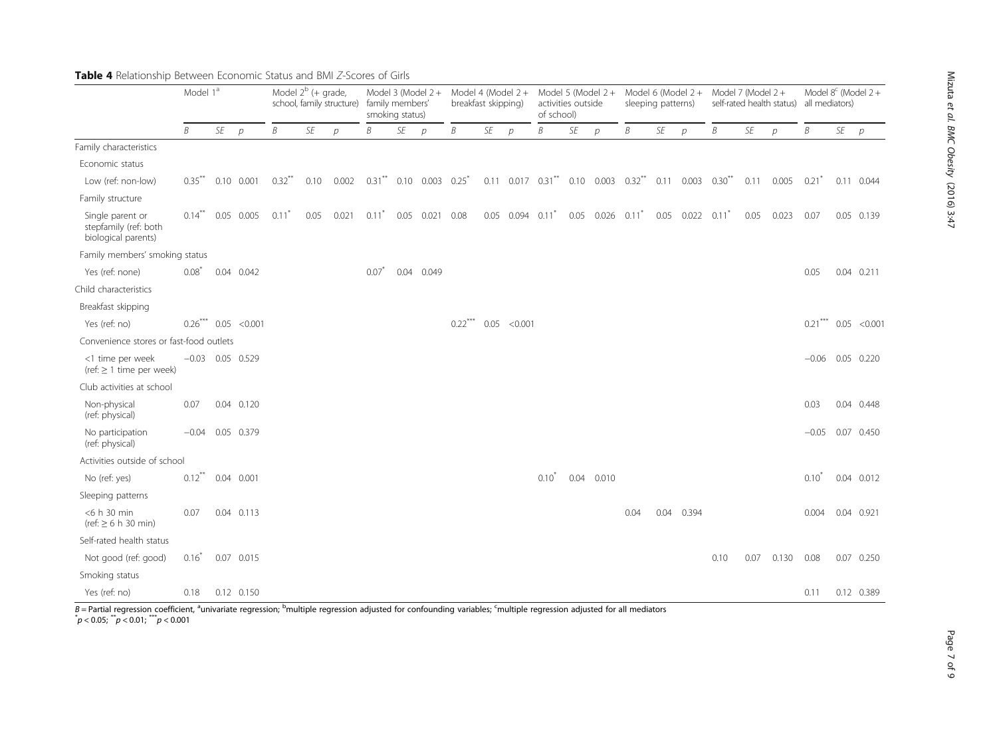|                                                                  | Model 1 <sup>ª</sup> |    |                        | Model $2^b$ (+ grade,<br>school, family structure) |      |                                                  | Model 3 (Model 2+<br>family members'<br>smoking status) |    |               | Model 4 (Model 2+<br>breakfast skipping) |    |                           | Model 5 (Model 2+<br>activities outside<br>of school) |      |                                                       | sleeping patterns) |      | Model 6 (Model $2 +$        | Model 7 (Model 2+ |      | self-rated health status)          | Model $8^c$ (Model 2+<br>all mediators) |    |                          |
|------------------------------------------------------------------|----------------------|----|------------------------|----------------------------------------------------|------|--------------------------------------------------|---------------------------------------------------------|----|---------------|------------------------------------------|----|---------------------------|-------------------------------------------------------|------|-------------------------------------------------------|--------------------|------|-----------------------------|-------------------|------|------------------------------------|-----------------------------------------|----|--------------------------|
|                                                                  | B                    | SE | $\mathcal{D}$          | B                                                  | SE   | $\mathcal{P}$                                    | B                                                       | SE | $\mathcal{D}$ | B                                        | SE | $\mathcal{D}$             | B                                                     | SE   | $\mathcal{D}$                                         | B                  | SE   | $\mathcal{D}$               | Β                 | SE   | $\mathcal{D}$                      | B                                       | SE | $\mathcal{P}$            |
| Family characteristics                                           |                      |    |                        |                                                    |      |                                                  |                                                         |    |               |                                          |    |                           |                                                       |      |                                                       |                    |      |                             |                   |      |                                    |                                         |    |                          |
| Economic status                                                  |                      |    |                        |                                                    |      |                                                  |                                                         |    |               |                                          |    |                           |                                                       |      |                                                       |                    |      |                             |                   |      |                                    |                                         |    |                          |
| Low (ref: non-low)                                               | $0.35$ <sup>**</sup> |    | $0.10 \quad 0.001$     | $0.32$ <sup>**</sup>                               |      | $0.10$ $0.002$ $0.31$ ** $0.10$ $0.003$ $0.25$ * |                                                         |    |               |                                          |    |                           |                                                       |      | 0.11 0.017 0.31** 0.10 0.003 0.32** 0.11 0.003 0.30** |                    |      |                             |                   |      | $0.11$ $0.005$ $0.21$ <sup>*</sup> |                                         |    | 0.11 0.044               |
| Family structure                                                 |                      |    |                        |                                                    |      |                                                  |                                                         |    |               |                                          |    |                           |                                                       |      |                                                       |                    |      |                             |                   |      |                                    |                                         |    |                          |
| Single parent or<br>stepfamily (ref: both<br>biological parents) | $0.14$ <sup>**</sup> |    | 0.05 0.005             | $0.11$ <sup>*</sup>                                | 0.05 | 0.021                                            | $0.11^*$ 0.05 0.021                                     |    |               | 0.08                                     |    | 0.05 0.094                | $0.11$ <sup>*</sup>                                   | 0.05 | $0.026$ $0.11$ <sup>*</sup>                           |                    | 0.05 | $0.022$ $0.11$ <sup>*</sup> |                   | 0.05 | 0.023                              | 0.07                                    |    | 0.05 0.139               |
| Family members' smoking status                                   |                      |    |                        |                                                    |      |                                                  |                                                         |    |               |                                          |    |                           |                                                       |      |                                                       |                    |      |                             |                   |      |                                    |                                         |    |                          |
| Yes (ref: none)                                                  | $0.08^{\degree}$     |    | $0.04$ $0.042$         |                                                    |      |                                                  | $0.07^{7}$                                              |    | 0.04 0.049    |                                          |    |                           |                                                       |      |                                                       |                    |      |                             |                   |      |                                    | 0.05                                    |    | $0.04$ $0.211$           |
| Child characteristics                                            |                      |    |                        |                                                    |      |                                                  |                                                         |    |               |                                          |    |                           |                                                       |      |                                                       |                    |      |                             |                   |      |                                    |                                         |    |                          |
| Breakfast skipping                                               |                      |    |                        |                                                    |      |                                                  |                                                         |    |               |                                          |    |                           |                                                       |      |                                                       |                    |      |                             |                   |      |                                    |                                         |    |                          |
| Yes (ref: no)                                                    |                      |    | $0.26***$ 0.05 < 0.001 |                                                    |      |                                                  |                                                         |    |               |                                          |    | $0.22$ *** $0.05$ < 0.001 |                                                       |      |                                                       |                    |      |                             |                   |      |                                    |                                         |    | $0.21$ *** $0.05$ <0.001 |
| Convenience stores or fast-food outlets                          |                      |    |                        |                                                    |      |                                                  |                                                         |    |               |                                          |    |                           |                                                       |      |                                                       |                    |      |                             |                   |      |                                    |                                         |    |                          |
| <1 time per week<br>(ref: $\geq$ 1 time per week)                |                      |    | $-0.03$ 0.05 0.529     |                                                    |      |                                                  |                                                         |    |               |                                          |    |                           |                                                       |      |                                                       |                    |      |                             |                   |      |                                    |                                         |    | $-0.06$ 0.05 0.220       |
| Club activities at school                                        |                      |    |                        |                                                    |      |                                                  |                                                         |    |               |                                          |    |                           |                                                       |      |                                                       |                    |      |                             |                   |      |                                    |                                         |    |                          |
| Non-physical<br>(ref: physical)                                  | 0.07                 |    | 0.04 0.120             |                                                    |      |                                                  |                                                         |    |               |                                          |    |                           |                                                       |      |                                                       |                    |      |                             |                   |      |                                    | 0.03                                    |    | 0.04 0.448               |
| No participation<br>(ref: physical)                              | $-0.04$              |    | 0.05 0.379             |                                                    |      |                                                  |                                                         |    |               |                                          |    |                           |                                                       |      |                                                       |                    |      |                             |                   |      |                                    | $-0.05$                                 |    | 0.07 0.450               |
| Activities outside of school                                     |                      |    |                        |                                                    |      |                                                  |                                                         |    |               |                                          |    |                           |                                                       |      |                                                       |                    |      |                             |                   |      |                                    |                                         |    |                          |
| No (ref: yes)                                                    | $0.12***$            |    | $0.04$ $0.001$         |                                                    |      |                                                  |                                                         |    |               |                                          |    |                           | $0.10^*$                                              |      | 0.04 0.010                                            |                    |      |                             |                   |      |                                    | $0.10^*$                                |    | 0.04 0.012               |
| Sleeping patterns                                                |                      |    |                        |                                                    |      |                                                  |                                                         |    |               |                                          |    |                           |                                                       |      |                                                       |                    |      |                             |                   |      |                                    |                                         |    |                          |
| <6 h 30 min<br>$(ref: \geq 6 h 30 min)$                          | 0.07                 |    | 0.04 0.113             |                                                    |      |                                                  |                                                         |    |               |                                          |    |                           |                                                       |      |                                                       | 0.04               | 0.04 | 0.394                       |                   |      |                                    | 0.004                                   |    | 0.04 0.921               |
| Self-rated health status                                         |                      |    |                        |                                                    |      |                                                  |                                                         |    |               |                                          |    |                           |                                                       |      |                                                       |                    |      |                             |                   |      |                                    |                                         |    |                          |
| Not good (ref: good)                                             | $0.16^{\degree}$     |    | 0.07 0.015             |                                                    |      |                                                  |                                                         |    |               |                                          |    |                           |                                                       |      |                                                       |                    |      |                             | 0.10              | 0.07 | 0.130                              | 0.08                                    |    | 0.07 0.250               |
| Smoking status                                                   |                      |    |                        |                                                    |      |                                                  |                                                         |    |               |                                          |    |                           |                                                       |      |                                                       |                    |      |                             |                   |      |                                    |                                         |    |                          |
| Yes (ref: no)                                                    | 0.18                 |    | 0.12 0.150             |                                                    |      |                                                  |                                                         |    |               |                                          |    |                           |                                                       |      |                                                       |                    |      |                             |                   |      |                                    | 0.11                                    |    | 0.12 0.389               |

<span id="page-6-0"></span>Table 4 Relationship Between Economic Status and BMI Z-Scores of Girls

B=Partial regression coefficient, <sup>a</sup>univariate regression; <sup>b</sup>multiple regression adjusted for confounding variables; <sup>c</sup>multiple regression adjusted for all mediators<br>\*p < 0.05; \*\*p < 0.01; \*\*\*p < 0.001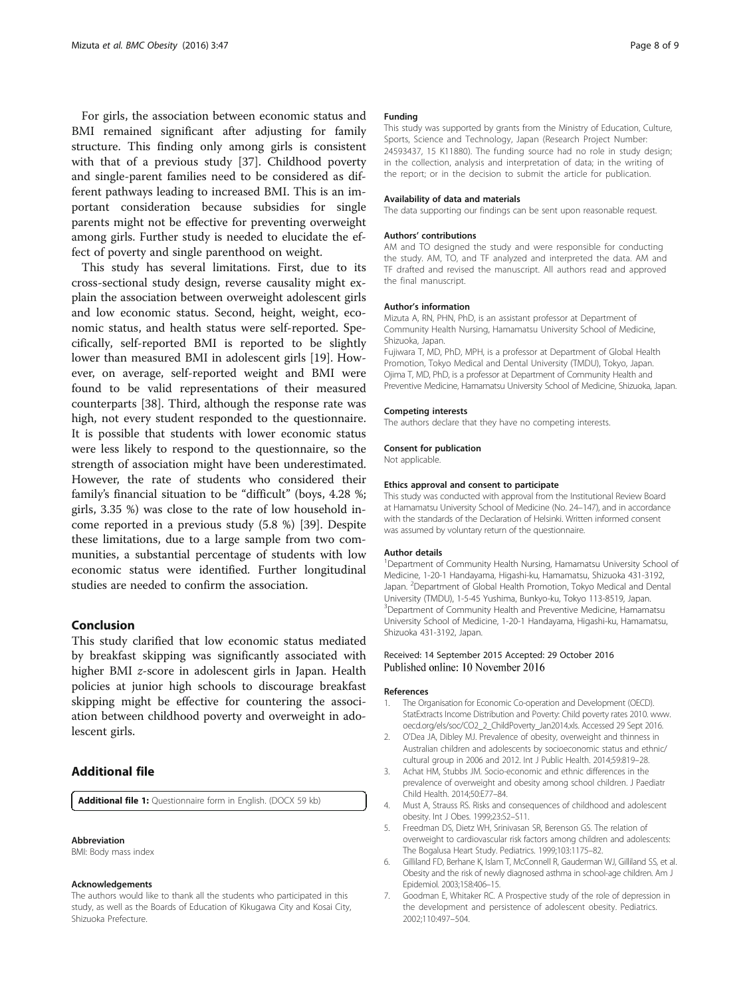<span id="page-7-0"></span>For girls, the association between economic status and BMI remained significant after adjusting for family structure. This finding only among girls is consistent with that of a previous study [\[37\]](#page-8-0). Childhood poverty and single-parent families need to be considered as different pathways leading to increased BMI. This is an important consideration because subsidies for single parents might not be effective for preventing overweight among girls. Further study is needed to elucidate the effect of poverty and single parenthood on weight.

This study has several limitations. First, due to its cross-sectional study design, reverse causality might explain the association between overweight adolescent girls and low economic status. Second, height, weight, economic status, and health status were self-reported. Specifically, self-reported BMI is reported to be slightly lower than measured BMI in adolescent girls [\[19\]](#page-8-0). However, on average, self-reported weight and BMI were found to be valid representations of their measured counterparts [[38\]](#page-8-0). Third, although the response rate was high, not every student responded to the questionnaire. It is possible that students with lower economic status were less likely to respond to the questionnaire, so the strength of association might have been underestimated. However, the rate of students who considered their family's financial situation to be "difficult" (boys, 4.28 %; girls, 3.35 %) was close to the rate of low household income reported in a previous study (5.8 %) [[39\]](#page-8-0). Despite these limitations, due to a large sample from two communities, a substantial percentage of students with low economic status were identified. Further longitudinal studies are needed to confirm the association.

# Conclusion

This study clarified that low economic status mediated by breakfast skipping was significantly associated with higher BMI z-score in adolescent girls in Japan. Health policies at junior high schools to discourage breakfast skipping might be effective for countering the association between childhood poverty and overweight in adolescent girls.

# Additional file

[Additional file 1:](dx.doi.org/10.1186/s40608-016-0127-z) Questionnaire form in English. (DOCX 59 kb)

### Abbreviation

BMI: Body mass index

#### Acknowledgements

The authors would like to thank all the students who participated in this study, as well as the Boards of Education of Kikugawa City and Kosai City, Shizuoka Prefecture.

### Funding

This study was supported by grants from the Ministry of Education, Culture, Sports, Science and Technology, Japan (Research Project Number: 24593437, 15 K11880). The funding source had no role in study design; in the collection, analysis and interpretation of data; in the writing of the report; or in the decision to submit the article for publication.

### Availability of data and materials

The data supporting our findings can be sent upon reasonable request.

### Authors' contributions

AM and TO designed the study and were responsible for conducting the study. AM, TO, and TF analyzed and interpreted the data. AM and TF drafted and revised the manuscript. All authors read and approved the final manuscript.

### Author's information

Mizuta A, RN, PHN, PhD, is an assistant professor at Department of Community Health Nursing, Hamamatsu University School of Medicine, Shizuoka, Japan.

Fujiwara T, MD, PhD, MPH, is a professor at Department of Global Health Promotion, Tokyo Medical and Dental University (TMDU), Tokyo, Japan. Ojima T, MD, PhD, is a professor at Department of Community Health and Preventive Medicine, Hamamatsu University School of Medicine, Shizuoka, Japan.

### Competing interests

The authors declare that they have no competing interests.

#### Consent for publication

Not applicable.

#### Ethics approval and consent to participate

This study was conducted with approval from the Institutional Review Board at Hamamatsu University School of Medicine (No. 24–147), and in accordance with the standards of the Declaration of Helsinki. Written informed consent was assumed by voluntary return of the questionnaire.

#### Author details

<sup>1</sup>Department of Community Health Nursing, Hamamatsu University School of Medicine, 1-20-1 Handayama, Higashi-ku, Hamamatsu, Shizuoka 431-3192, Japan. <sup>2</sup> Department of Global Health Promotion, Tokyo Medical and Dental University (TMDU), 1-5-45 Yushima, Bunkyo-ku, Tokyo 113-8519, Japan. <sup>3</sup> Department of Community Health and Preventive Medicine, Hamamatsu University School of Medicine, 1-20-1 Handayama, Higashi-ku, Hamamatsu, Shizuoka 431-3192, Japan.

### Received: 14 September 2015 Accepted: 29 October 2016 Published online: 10 November 2016

### References

- The Organisation for Economic Co-operation and Development (OECD). StatExtracts Income Distribution and Poverty: Child poverty rates 2010. [www.](http://www.oecd.org/els/soc/CO2_2_ChildPoverty_Jan2014.xls) [oecd.org/els/soc/CO2\\_2\\_ChildPoverty\\_Jan2014.xls](http://www.oecd.org/els/soc/CO2_2_ChildPoverty_Jan2014.xls). Accessed 29 Sept 2016.
- 2. O'Dea JA, Dibley MJ. Prevalence of obesity, overweight and thinness in Australian children and adolescents by socioeconomic status and ethnic/ cultural group in 2006 and 2012. Int J Public Health. 2014;59:819–28.
- 3. Achat HM, Stubbs JM. Socio-economic and ethnic differences in the prevalence of overweight and obesity among school children. J Paediatr Child Health. 2014;50:E77–84.
- 4. Must A, Strauss RS. Risks and consequences of childhood and adolescent obesity. Int J Obes. 1999;23:S2–S11.
- 5. Freedman DS, Dietz WH, Srinivasan SR, Berenson GS. The relation of overweight to cardiovascular risk factors among children and adolescents: The Bogalusa Heart Study. Pediatrics. 1999;103:1175–82.
- 6. Gilliland FD, Berhane K, Islam T, McConnell R, Gauderman WJ, Gilliland SS, et al. Obesity and the risk of newly diagnosed asthma in school-age children. Am J Epidemiol. 2003;158:406–15.
- 7. Goodman E, Whitaker RC. A Prospective study of the role of depression in the development and persistence of adolescent obesity. Pediatrics. 2002;110:497–504.